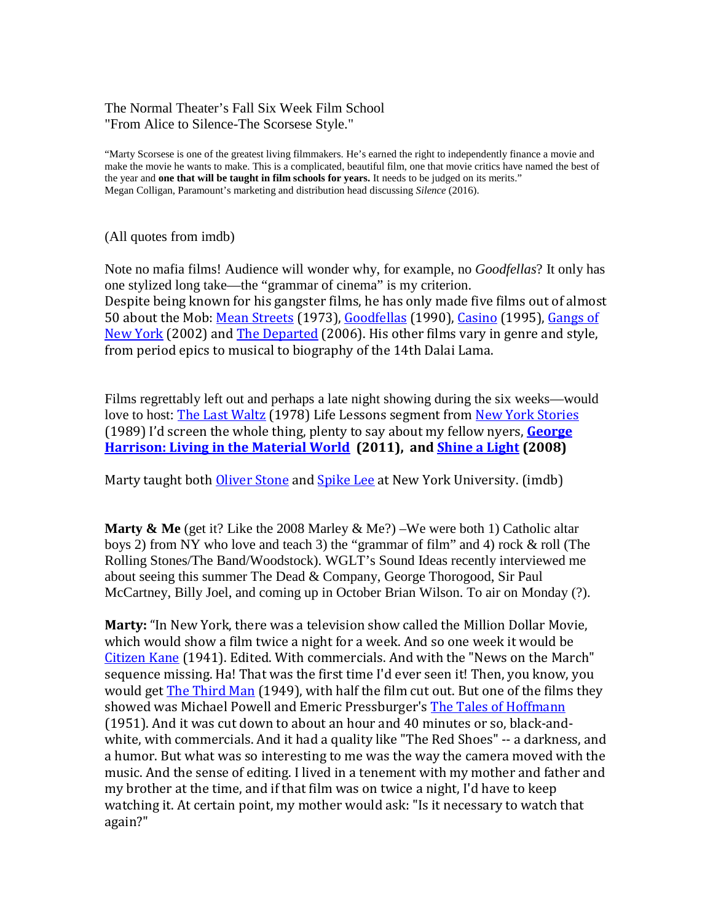### The Normal Theater's Fall Six Week Film School "From Alice to Silence-The Scorsese Style."

"Marty Scorsese is one of the greatest living filmmakers. He's earned the right to independently finance a movie and make the movie he wants to make. This is a complicated, beautiful film, one that movie critics have named the best of the year and **one that will be taught in film schools for years.** It needs to be judged on its merits." Megan Colligan, Paramount's marketing and distribution head discussing *Silence* (2016).

(All quotes from imdb)

Note no mafia films! Audience will wonder why, for example, no *Goodfellas*? It only has one stylized long take—the "grammar of cinema" is my criterion. Despite being known for his gangster films, he has only made five films out of almost 50 about the Mob: [Mean Streets](http://www.imdb.com/title/tt0070379?ref_=nmbio_trv_81) (1973), [Goodfellas](http://www.imdb.com/title/tt0099685?ref_=nmbio_trv_81) (1990), [Casino](http://www.imdb.com/title/tt0112641?ref_=nmbio_trv_81) (1995), Gangs of [New York](http://www.imdb.com/title/tt0217505?ref_=nmbio_trv_81) (2002) and [The Departed](http://www.imdb.com/title/tt0407887?ref_=nmbio_trv_81) (2006). His other films vary in genre and style, from period epics to musical to biography of the 14th Dalai Lama.

Films regrettably left out and perhaps a late night showing during the six weeks—would love to host: [The Last Waltz](http://www.imdb.com/title/tt0077838?ref_=nmbio_mbio) (1978) Life Lessons segment from [New York Stories](http://www.imdb.com/title/tt0097965) (1989) I'd screen the whole thing, plenty to say about my fellow nyers, **[George](http://www.imdb.com/title/tt1113829/?ref_=nm_flmg_dr_9)  [Harrison: Living in the Material World](http://www.imdb.com/title/tt1113829/?ref_=nm_flmg_dr_9) (2011), and [Shine a Light](http://www.imdb.com/title/tt0893382/?ref_=nm_flmg_dr_14) (2008)**

Marty taught both [Oliver Stone](http://www.imdb.com/name/nm0000231?ref_=nmbio_trv_11) and [Spike Lee](http://www.imdb.com/name/nm0000490?ref_=nmbio_trv_11) at New York University. (imdb)

**Marty & Me** (get it? Like the 2008 Marley & Me?) –We were both 1) Catholic altar boys 2) from NY who love and teach 3) the "grammar of film" and 4) rock & roll (The Rolling Stones/The Band/Woodstock). WGLT's Sound Ideas recently interviewed me about seeing this summer The Dead & Company, George Thorogood, Sir Paul McCartney, Billy Joel, and coming up in October Brian Wilson. To air on Monday (?).

**Marty:** "In New York, there was a television show called the Million Dollar Movie, which would show a film twice a night for a week. And so one week it would be [Citizen Kane](http://www.imdb.com/title/tt0033467?ref_=nmbio_qu_48) (1941). Edited. With commercials. And with the "News on the March" sequence missing. Ha! That was the first time I'd ever seen it! Then, you know, you would get [The Third Man](http://www.imdb.com/title/tt0041959?ref_=nmbio_qu_48) (1949), with half the film cut out. But one of the films they showed was Michael Powell and Emeric Pressburger's [The Tales of Hoffmann](http://www.imdb.com/title/tt0044103?ref_=nmbio_qu_48) (1951). And it was cut down to about an hour and 40 minutes or so, black-andwhite, with commercials. And it had a quality like "The Red Shoes" -- a darkness, and a humor. But what was so interesting to me was the way the camera moved with the music. And the sense of editing. I lived in a tenement with my mother and father and my brother at the time, and if that film was on twice a night, I'd have to keep watching it. At certain point, my mother would ask: "Is it necessary to watch that again?"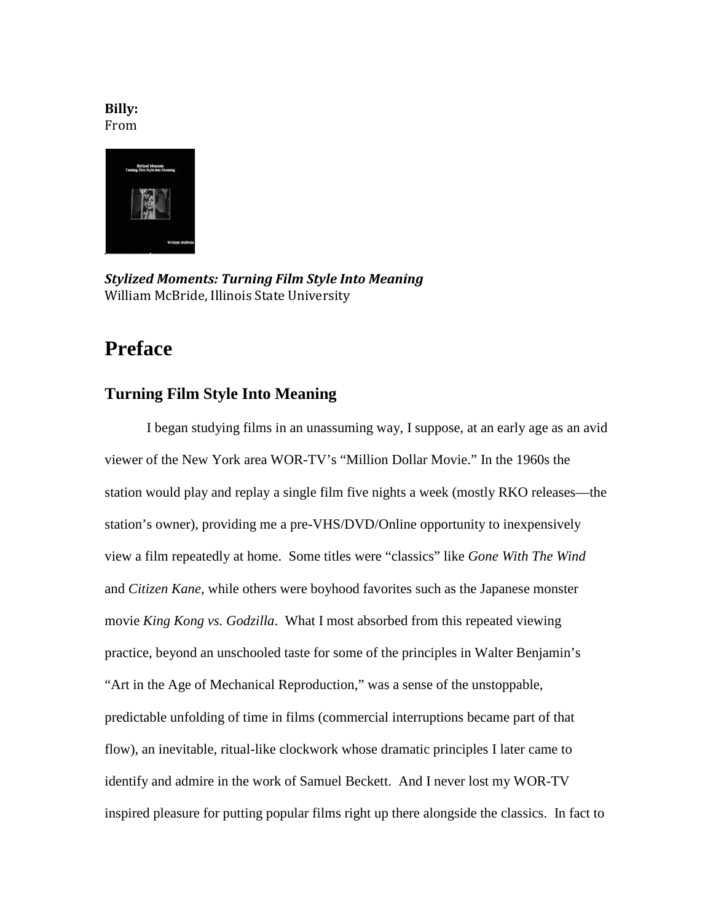### **Billy:** From



*Stylized Moments: Turning Film Style Into Meaning* William McBride, Illinois State University

# **Preface**

# **Turning Film Style Into Meaning**

I began studying films in an unassuming way, I suppose, at an early age as an avid viewer of the New York area WOR-TV's "Million Dollar Movie." In the 1960s the station would play and replay a single film five nights a week (mostly RKO releases—the station's owner), providing me a pre-VHS/DVD/Online opportunity to inexpensively view a film repeatedly at home. Some titles were "classics" like *Gone With The Wind* and *Citizen Kane*, while others were boyhood favorites such as the Japanese monster movie *King Kong vs. Godzilla*. What I most absorbed from this repeated viewing practice, beyond an unschooled taste for some of the principles in Walter Benjamin's "Art in the Age of Mechanical Reproduction," was a sense of the unstoppable, predictable unfolding of time in films (commercial interruptions became part of that flow), an inevitable, ritual-like clockwork whose dramatic principles I later came to identify and admire in the work of Samuel Beckett. And I never lost my WOR-TV inspired pleasure for putting popular films right up there alongside the classics. In fact to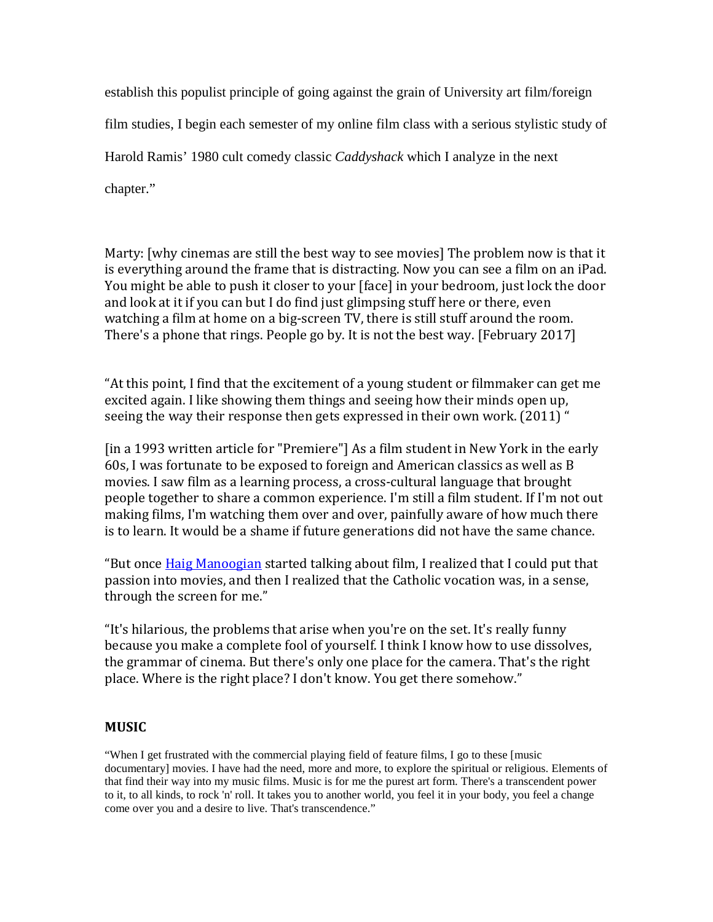establish this populist principle of going against the grain of University art film/foreign film studies, I begin each semester of my online film class with a serious stylistic study of Harold Ramis' 1980 cult comedy classic *Caddyshack* which I analyze in the next chapter."

Marty: [why cinemas are still the best way to see movies] The problem now is that it is everything around the frame that is distracting. Now you can see a film on an iPad. You might be able to push it closer to your [face] in your bedroom, just lock the door and look at it if you can but I do find just glimpsing stuff here or there, even watching a film at home on a big-screen TV, there is still stuff around the room. There's a phone that rings. People go by. It is not the best way. [February 2017]

"At this point, I find that the excitement of a young student or filmmaker can get me excited again. I like showing them things and seeing how their minds open up, seeing the way their response then gets expressed in their own work. (2011) "

[in a 1993 written article for "Premiere"] As a film student in New York in the early 60s, I was fortunate to be exposed to foreign and American classics as well as B movies. I saw film as a learning process, a cross-cultural language that brought people together to share a common experience. I'm still a film student. If I'm not out making films, I'm watching them over and over, painfully aware of how much there is to learn. It would be a shame if future generations did not have the same chance.

"But once [Haig Manoogian](http://www.imdb.com/name/nm1058896?ref_=nmbio_qu_27) started talking about film, I realized that I could put that passion into movies, and then I realized that the Catholic vocation was, in a sense, through the screen for me."

"It's hilarious, the problems that arise when you're on the set. It's really funny because you make a complete fool of yourself. I think I know how to use dissolves, the grammar of cinema. But there's only one place for the camera. That's the right place. Where is the right place? I don't know. You get there somehow."

## **MUSIC**

"When I get frustrated with the commercial playing field of feature films, I go to these [music documentary] movies. I have had the need, more and more, to explore the spiritual or religious. Elements of that find their way into my music films. Music is for me the purest art form. There's a transcendent power to it, to all kinds, to rock 'n' roll. It takes you to another world, you feel it in your body, you feel a change come over you and a desire to live. That's transcendence."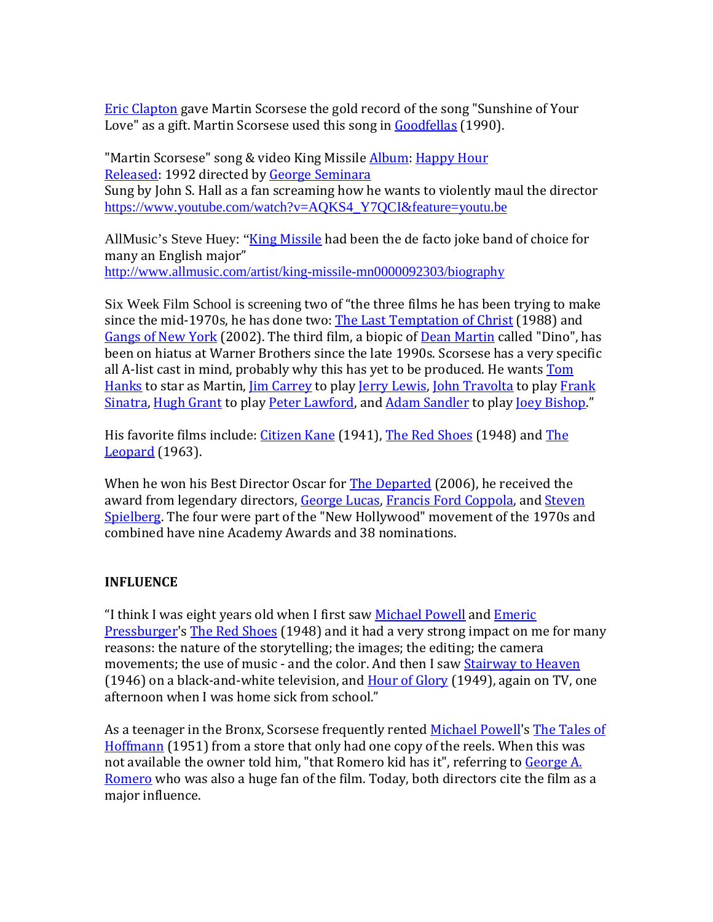**[Eric Clapton](http://www.imdb.com/name/nm0002008?ref_=nmbio_trv_92) gave Martin Scorsese the gold record of the song "Sunshine of Your** Love" as a gift. Martin Scorsese used this song in [Goodfellas](http://www.imdb.com/title/tt0099685?ref_=nmbio_trv_92) (1990).

"Martin Scorsese" song & video King Missile **[Album:](https://www.google.com/search?q=king+missile+martin+scorcese+album&stick=H4sIAAAAAAAAAOPgE-LRT9c3LDYwLSzIM03SUs9OttLPLS3OTNYvSk3OL0rJzEuPT84pLS5JLbJKyywqLlFIzEkqzQUA2P4tPDkAAAA&sa=X&ved=0ahUKEwifvrGwsJPWAhUl6YMKHW-kCy0Q6BMIMCgAMAM) [Happy Hour](https://www.google.com/search?q=King+Missile+Happy+Hour&stick=H4sIAAAAAAAAAOPgE-LRT9c3LDYwLSzIM01S4tLP1TcwzCmKz67SUs9OttLPLS3OTNYvSk3OL0rJzEuPT84pLS5JLbJKyywqLlFIzEkqzQUAbzHuMkUAAAA&sa=X&ved=0ahUKEwifvrGwsJPWAhUl6YMKHW-kCy0QmxMIMSgBMAM)** [Released:](https://www.google.com/search?q=king+missile+martin+scorcese+released&stick=H4sIAAAAAAAAAOPgE-LRT9c3LDYwLSzIM03S0shOttLPLS3OTNYvSk3OL0rJzEuPT84pLS5JLbIqSs1JTSxOVUhJLEkFAF1gatk6AAAA&sa=X&ved=0ahUKEwifvrGwsJPWAhUl6YMKHW-kCy0Q6BMINCgAMAQ) 1992 directed by [George Seminara](https://en.wikipedia.org/w/index.php?title=George_Seminara&action=edit&redlink=1) Sung by John S. Hall as a fan screaming how he wants to violently maul the director [https://www.youtube.com/watch?v=AQKS4\\_Y7QCI&feature=youtu.be](https://www.youtube.com/watch?v=AQKS4_Y7QCI&feature=youtu.be)

AllMusic's Steve Huey: "[King Missile](http://www.allmusic.com/artist/king-missile-mn0000092303) had been the de facto joke band of choice for many an English major" <http://www.allmusic.com/artist/king-missile-mn0000092303/biography>

Six Week Film School is screening two of "the three films he has been trying to make since the mid-1970s, he has done two: [The Last Temptation of Christ](http://www.imdb.com/title/tt0095497?ref_=nmbio_trv_21) (1988) and [Gangs of New York](http://www.imdb.com/title/tt0217505?ref_=nmbio_trv_21) (2002). The third film, a biopic of [Dean Martin](http://www.imdb.com/name/nm0001509?ref_=nmbio_trv_21) called "Dino", has been on hiatus at Warner Brothers since the late 1990s. Scorsese has a very specific all A-list cast in mind, probably why this has yet to be produced. He wants Tom [Hanks](http://www.imdb.com/name/nm0000158?ref_=nmbio_trv_21) to star as Martin, [Jim Carrey](http://www.imdb.com/name/nm0000120?ref_=nmbio_trv_21) to play [Jerry Lewis,](http://www.imdb.com/name/nm0001471?ref_=nmbio_trv_21) [John Travolta](http://www.imdb.com/name/nm0000237?ref_=nmbio_trv_21) to play [Frank](http://www.imdb.com/name/nm0000069?ref_=nmbio_trv_21)  [Sinatra,](http://www.imdb.com/name/nm0000069?ref_=nmbio_trv_21) [Hugh Grant](http://www.imdb.com/name/nm0000424?ref_=nmbio_trv_21) to play [Peter Lawford,](http://www.imdb.com/name/nm0492444?ref_=nmbio_trv_21) and [Adam Sandler](http://www.imdb.com/name/nm0001191?ref_=nmbio_trv_21) to play [Joey Bishop.](http://www.imdb.com/name/nm0084086?ref_=nmbio_trv_21)"

His favorite films include[: Citizen Kane](http://www.imdb.com/title/tt0033467?ref_=nmbio_trv_37) (1941), [The Red Shoes](http://www.imdb.com/title/tt0040725?ref_=nmbio_trv_37) (1948) and The [Leopard](http://www.imdb.com/title/tt0057091?ref_=nmbio_trv_37) (1963).

When he won his Best Director Oscar for **The Departed** (2006), he received the award from legendary directors, [George Lucas,](http://www.imdb.com/name/nm0000184?ref_=nmbio_trv_50) [Francis Ford Coppola,](http://www.imdb.com/name/nm0000338?ref_=nmbio_trv_50) and [Steven](http://www.imdb.com/name/nm0000229?ref_=nmbio_trv_50)  [Spielberg.](http://www.imdb.com/name/nm0000229?ref_=nmbio_trv_50) The four were part of the "New Hollywood" movement of the 1970s and combined have nine Academy Awards and 38 nominations.

## **INFLUENCE**

"I think I was eight years old when I first saw [Michael Powell](http://www.imdb.com/name/nm0003836?ref_=nmbio_qu_48) and Emeric [Pressburger](http://www.imdb.com/name/nm0696247?ref_=nmbio_qu_48)'s [The Red Shoes](http://www.imdb.com/title/tt0040725?ref_=nmbio_qu_48) (1948) and it had a very strong impact on me for many reasons: the nature of the storytelling; the images; the editing; the camera movements; the use of music - and the color. And then I saw [Stairway to Heaven](http://www.imdb.com/title/tt0038733?ref_=nmbio_qu_48) (1946) on a black-and-white television, and [Hour of Glory](http://www.imdb.com/title/tt0041886?ref_=nmbio_qu_48) (1949), again on TV, one afternoon when I was home sick from school."

As a teenager in the Bronx, Scorsese frequently rented [Michael Powell](http://www.imdb.com/name/nm0003836?ref_=nmbio_trv_51)'s [The Tales of](http://www.imdb.com/title/tt0044103?ref_=nmbio_trv_51)  [Hoffmann](http://www.imdb.com/title/tt0044103?ref_=nmbio_trv_51) (1951) from a store that only had one copy of the reels. When this was not available the owner told him, "that Romero kid has it", referring to George A. [Romero](http://www.imdb.com/name/nm0001681?ref_=nmbio_trv_51) who was also a huge fan of the film. Today, both directors cite the film as a major influence.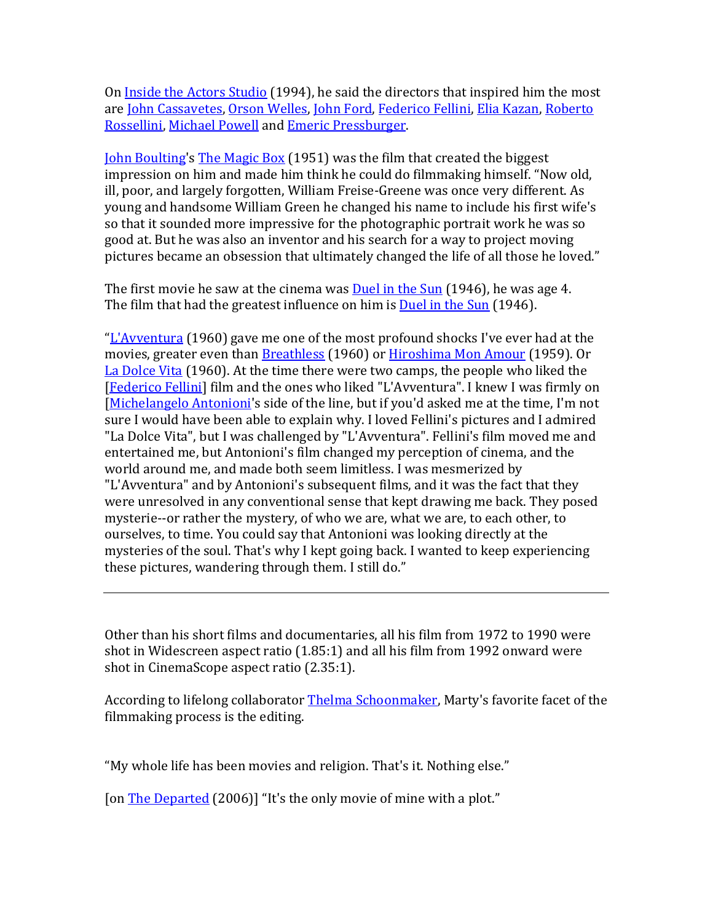On [Inside the Actors Studio](http://www.imdb.com/title/tt0169455?ref_=nmbio_trv_67) (1994), he said the directors that inspired him the most are [John Cassavetes,](http://www.imdb.com/name/nm0001023?ref_=nmbio_trv_67) [Orson Welles,](http://www.imdb.com/name/nm0000080?ref_=nmbio_trv_67) [John Ford,](http://www.imdb.com/name/nm0000406?ref_=nmbio_trv_67) [Federico Fellini,](http://www.imdb.com/name/nm0000019?ref_=nmbio_trv_67) [Elia Kazan,](http://www.imdb.com/name/nm0001415?ref_=nmbio_trv_67) [Roberto](http://www.imdb.com/name/nm0744023?ref_=nmbio_trv_67)  [Rossellini,](http://www.imdb.com/name/nm0744023?ref_=nmbio_trv_67) [Michael Powell](http://www.imdb.com/name/nm0003836?ref_=nmbio_trv_67) and [Emeric Pressburger.](http://www.imdb.com/name/nm0696247?ref_=nmbio_trv_67)

[John Boulting](http://www.imdb.com/name/nm0099589?ref_=tt_ov_dr)'s [The Magic Box](http://www.imdb.com/title/tt0043769?ref_=nmbio_trv_72) (1951) was the film that created the biggest impression on him and made him think he could do filmmaking himself. "Now old, ill, poor, and largely forgotten, William Freise-Greene was once very different. As young and handsome William Green he changed his name to include his first wife's so that it sounded more impressive for the photographic portrait work he was so good at. But he was also an inventor and his search for a way to project moving pictures became an obsession that ultimately changed the life of all those he loved."

The first movie he saw at the cinema wa[s Duel in the Sun](http://www.imdb.com/title/tt0038499?ref_=nmbio_trv_66) (1946), he was age 4. The film that had the greatest influence on him is **Duel in the Sun** (1946).

"L['Avventura](http://www.imdb.com/title/tt0053619?ref_=nmbio_qu_39) (1960) gave me one of the most profound shocks I've ever had at the movies, greater even than **Breathless** (1960) or [Hiroshima Mon Amour](http://www.imdb.com/title/tt0052893?ref_=nmbio_qu_39) (1959). Or [La Dolce Vita](http://www.imdb.com/title/tt0053779?ref_=nmbio_qu_39) (1960). At the time there were two camps, the people who liked the [\[Federico Fellini\]](http://www.imdb.com/name/nm0000019?ref_=nmbio_qu_39) film and the ones who liked "L'Avventura". I knew I was firmly on [\[Michelangelo Antonioni](http://www.imdb.com/name/nm0000774?ref_=nmbio_qu_39)'s side of the line, but if you'd asked me at the time, I'm not sure I would have been able to explain why. I loved Fellini's pictures and I admired "La Dolce Vita", but I was challenged by "L'Avventura". Fellini's film moved me and entertained me, but Antonioni's film changed my perception of cinema, and the world around me, and made both seem limitless. I was mesmerized by "L'Avventura" and by Antonioni's subsequent films, and it was the fact that they were unresolved in any conventional sense that kept drawing me back. They posed mysterie--or rather the mystery, of who we are, what we are, to each other, to ourselves, to time. You could say that Antonioni was looking directly at the mysteries of the soul. That's why I kept going back. I wanted to keep experiencing these pictures, wandering through them. I still do."

Other than his short films and documentaries, all his film from 1972 to 1990 were shot in Widescreen aspect ratio (1.85:1) and all his film from 1992 onward were shot in CinemaScope aspect ratio (2.35:1).

According to lifelong collaborator [Thelma Schoonmaker,](http://www.imdb.com/name/nm0774817?ref_=nmbio_trv_73) Marty's favorite facet of the filmmaking process is the editing.

"My whole life has been movies and religion. That's it. Nothing else."

[on **The Departed** (2006)] "It's the only movie of mine with a plot."